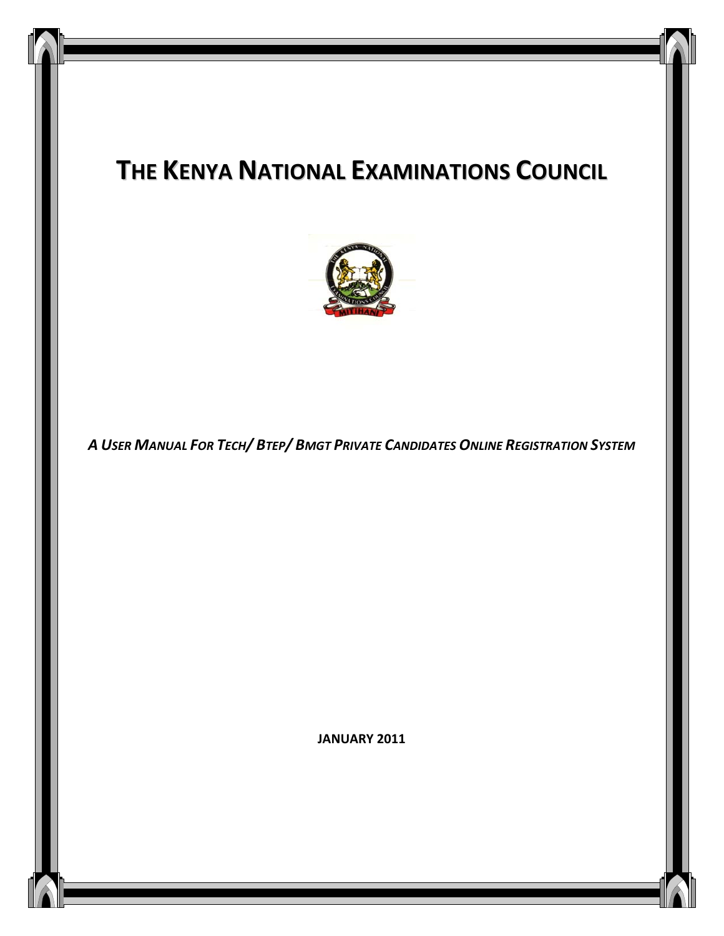# **THE KENYA NATIONAL EXAMINATIONS COUNCIL**



*A USER MANUAL FOR TECH/ BTEP/ BMGT PRIVATE CANDIDATES ONLINE REGISTRATION SYSTEM*

**JANUARY 2011**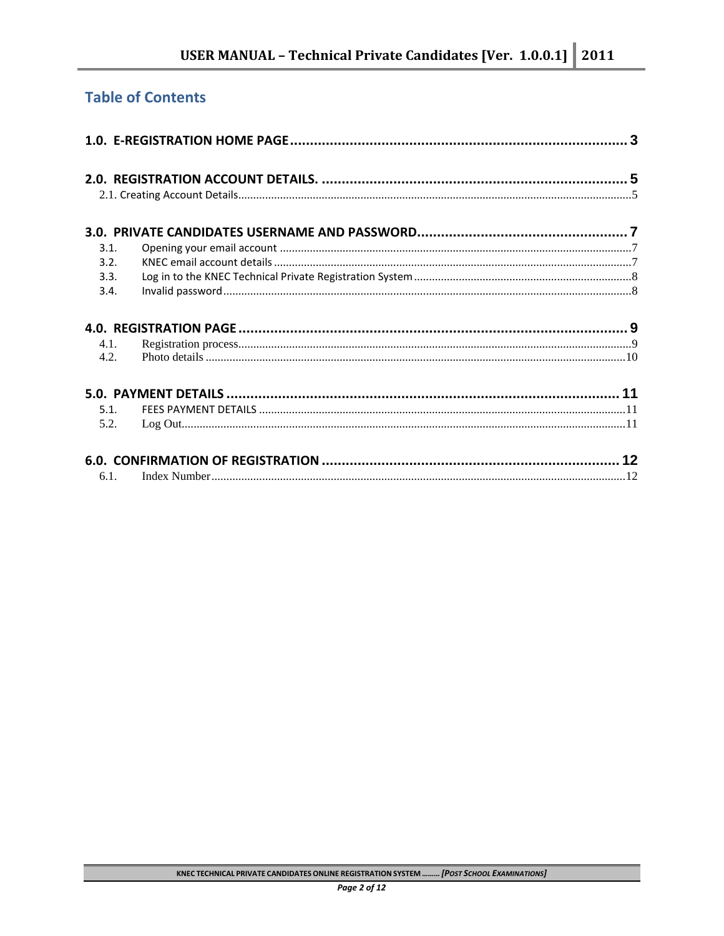# **Table of Contents**

| 3.1.    |  |
|---------|--|
| 3.2.    |  |
| 3.3.    |  |
| 3.4.    |  |
|         |  |
| 4.1.    |  |
| 4.2.    |  |
|         |  |
| 5.1.    |  |
| 5.2.    |  |
|         |  |
| $6.1$ . |  |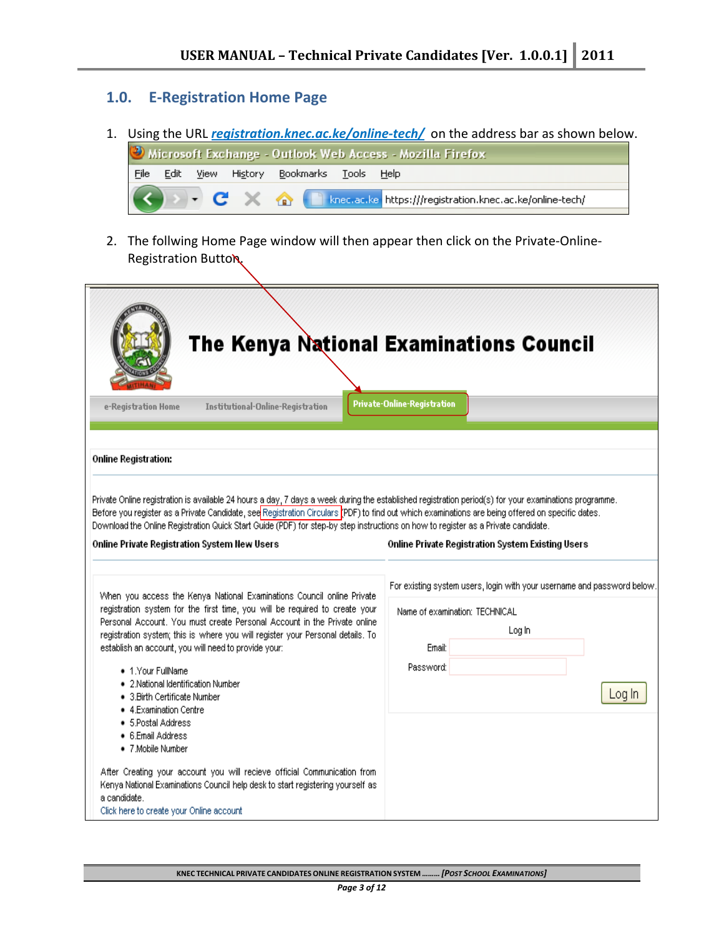#### **1.0. E‐Registration Home Page**

1. Using the URL *registration.knec.ac.ke/online-tech/* on the address bar as shown below. Microsoft Exchange - Outlook Web Access - Mozilla Firefox



2. The follwing Home Page window will then appear then click on the Private-Online-Registration Button.

| Institutional-Online-Registration<br>e-Registration Home                                                                                                                                                                                                                                                                                                                                                                                                                                                                                                            | The Kenya National Examinations Council<br><b>Private-Online-Registration</b>                                                                        |
|---------------------------------------------------------------------------------------------------------------------------------------------------------------------------------------------------------------------------------------------------------------------------------------------------------------------------------------------------------------------------------------------------------------------------------------------------------------------------------------------------------------------------------------------------------------------|------------------------------------------------------------------------------------------------------------------------------------------------------|
| <b>Online Registration:</b>                                                                                                                                                                                                                                                                                                                                                                                                                                                                                                                                         |                                                                                                                                                      |
| Private Online registration is available 24 hours a day, 7 days a week during the established registration period(s) for your examinations programme.<br>Before you register as a Private Candidate, see Registration Circulars <i>[PDF</i> ] to find out which examinations are being offered on specific dates.<br>Download the Online Registration Quick Start Guide (PDF) for step-by step instructions on how to register as a Private candidate.<br>Online Private Registration System New Users                                                              | Online Private Registration System Existing Users                                                                                                    |
| When you access the Kenya National Examinations Council online Private<br>registration system for the first time, you will be required to create your<br>Personal Account. You must create Personal Account in the Private online<br>registration system; this is where you will register your Personal details. To<br>establish an account, you will need to provide your:<br>• 1.Your FullName<br>• 2. National Identification Number<br>• 3. Birth Certificate Number<br>• 4.Examination Centre<br>● 5.Postal Address<br>• 6.Email Address<br>• 7. Mobile Number | For existing system users, login with your username and password below.<br>Name of examination: TECHNICAL<br>Log In<br>Email:<br>Password:<br>Log In |
| After Creating your account you will recieve official Communication from<br>Kenya National Examinations Council help desk to start registering yourself as<br>a candidate.<br>Click here to create your Online account                                                                                                                                                                                                                                                                                                                                              |                                                                                                                                                      |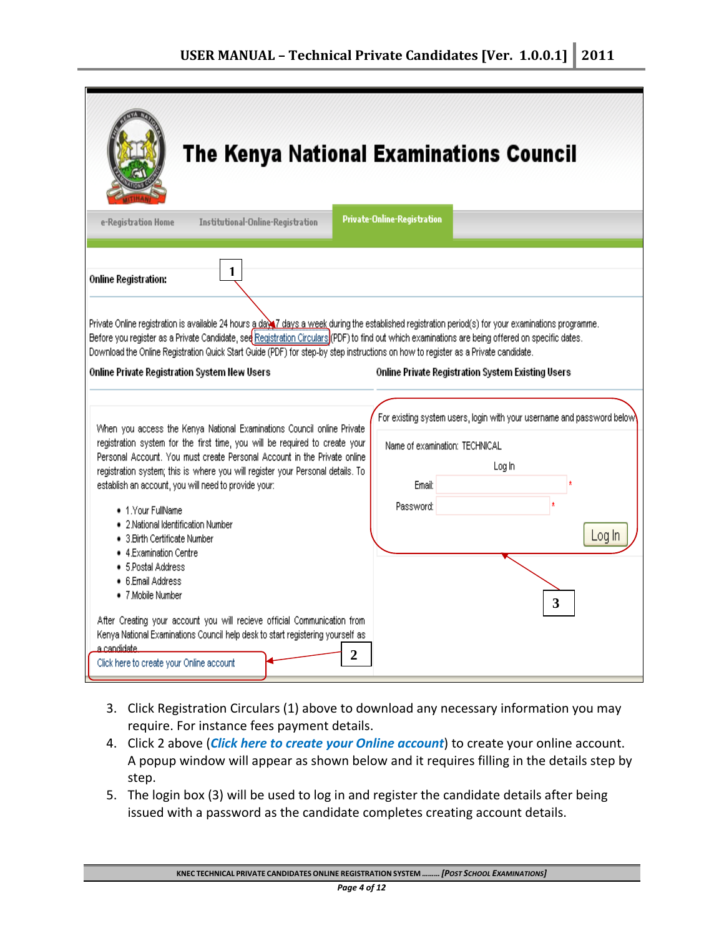| The Kenya National Examinations Council                                                                                                                                                                                                                                                                                                                                                                                                                                                                                                                                                                                                                                                                                                                                                                           |                                                                                                                                                          |  |  |  |  |  |
|-------------------------------------------------------------------------------------------------------------------------------------------------------------------------------------------------------------------------------------------------------------------------------------------------------------------------------------------------------------------------------------------------------------------------------------------------------------------------------------------------------------------------------------------------------------------------------------------------------------------------------------------------------------------------------------------------------------------------------------------------------------------------------------------------------------------|----------------------------------------------------------------------------------------------------------------------------------------------------------|--|--|--|--|--|
| Institutional-Online-Registration<br>e-Registration Home                                                                                                                                                                                                                                                                                                                                                                                                                                                                                                                                                                                                                                                                                                                                                          | Private-Online-Registration                                                                                                                              |  |  |  |  |  |
| 1<br><b>Online Registration:</b><br>Private Online registration is available 24 hours a day 7 days a week during the established registration period(s) for your examinations programme.<br>Before you register as a Private Candidate, see Registration Circulars (PDF) to find out which examinations are being offered on specific dates.<br>Download the Online Registration Quick Start Guide (PDF) for step-by step instructions on how to register as a Private candidate.<br>Online Private Registration System New Users                                                                                                                                                                                                                                                                                 | Online Private Registration System Existing Users                                                                                                        |  |  |  |  |  |
| When you access the Kenya National Examinations Council online Private<br>registration system for the first time, you will be required to create your<br>Personal Account. You must create Personal Account in the Private online<br>registration system; this is where you will register your Personal details. To<br>establish an account, you will need to provide your:<br>• 1. Your FullName<br>· 2.National Identification Number<br>• 3. Birth Certificate Number<br>$\bullet$ 4.Examination Centre<br>● 5.Postal Address<br>● 6.Email Address<br>• 7. Mobile Number<br>After Creating your account you will recieve official Communication from<br>Kenya National Examinations Council help desk to start registering yourself as<br><u>a candidate.</u><br>2<br>Click here to create your Online account | For existing system users, login with your username and password below<br>Name of examination: TECHNICAL<br>Log In<br>Email:<br>Password:<br>Log In<br>3 |  |  |  |  |  |

- 3. Click Registration Circulars (1) above to download any necessary information you may require. For instance fees payment details.
- 4. Click 2 above (*Click here to create your Online account*) to create your online account. A popup window will appear as shown below and it requires filling in the details step by step.
- 5. The login box (3) will be used to log in and register the candidate details after being issued with a password as the candidate completes creating account details.

**KNEC TECHNICAL PRIVATE CANDIDATES ONLINE REGISTRATION SYSTEM** *……… [POST SCHOOL EXAMINATIONS]*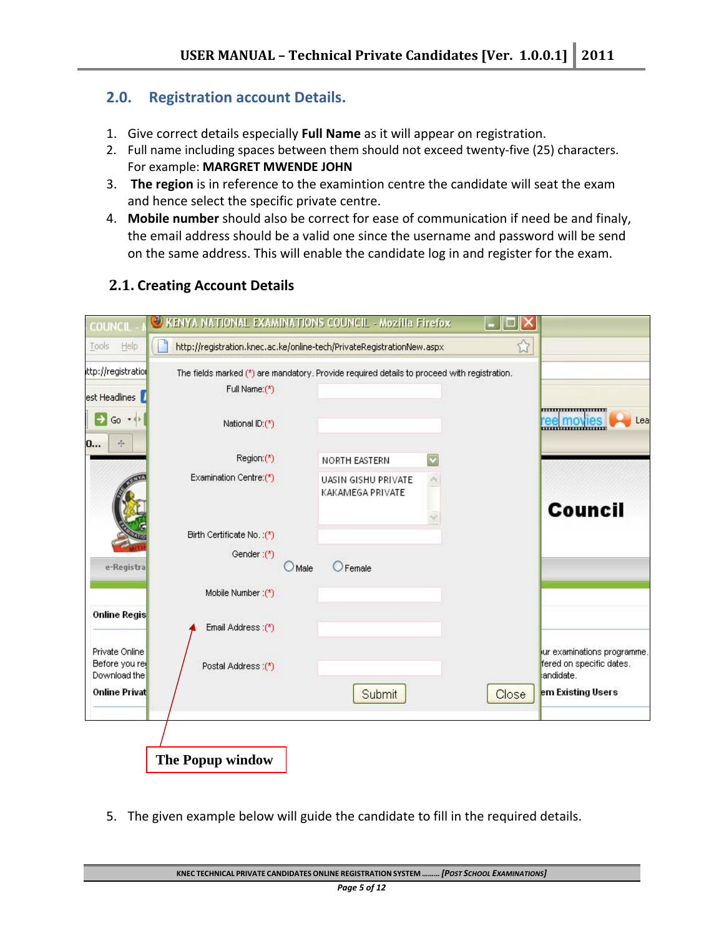# **2.0. Registration account Details.**

- 1. Give correct details especially **Full Name** as it will appear on registration.
- 2. Full name including spaces between them should not exceed twenty‐five (25) characters. For example: **MARGRET MWENDE JOHN**
- 3. **The region** is in reference to the examintion centre the candidate will seat the exam and hence select the specific private centre.
- 4. **Mobile number** should also be correct for ease of communication if need be and finaly, the email address should be a valid one since the username and password will be send on the same address. This will enable the candidate log in and register for the exam.

# **2.1. Creating Account Details**

| <b>COUNCIL</b>                                  | VENYA NATIONAL EXAMINATIONS COUNCIL - Mozilla Firefox                                                        |                |                                         |       |                                                                     |
|-------------------------------------------------|--------------------------------------------------------------------------------------------------------------|----------------|-----------------------------------------|-------|---------------------------------------------------------------------|
| Help<br>Tools                                   | http://registration.knec.ac.ke/online-tech/PrivateRegistrationNew.aspx                                       |                |                                         |       |                                                                     |
| ttp://registration<br>est Headlines             | The fields marked (*) are mandatory. Provide required details to proceed with registration.<br>Full Name:(*) |                |                                         |       |                                                                     |
| Go *<br>0<br>弄                                  | National ID:(*)                                                                                              |                |                                         |       | Lea<br><u>reel moyies</u>                                           |
|                                                 | Region:(*)                                                                                                   |                | NORTH EASTERN                           |       |                                                                     |
|                                                 | Examination Centre:(*)                                                                                       |                | UASIN GISHU PRIVATE<br>KAKAMEGA PRIVATE |       |                                                                     |
|                                                 |                                                                                                              |                |                                         |       | <b>Council</b>                                                      |
|                                                 | Birth Certificate No.:(*)                                                                                    |                |                                         |       |                                                                     |
| e-Registra                                      | Gender:(*)                                                                                                   | $\bigcup$ Male | <b>O</b> Female                         |       |                                                                     |
|                                                 | Mobile Number : (*)                                                                                          |                |                                         |       |                                                                     |
| <b>Online Regis</b>                             | Email Address:(*)                                                                                            |                |                                         |       |                                                                     |
| Private Online<br>Before you re<br>Download the | Postal Address :(*)                                                                                          |                |                                         |       | ur examinations programme.<br>fered on specific dates.<br>andidate. |
| <b>Online Privat</b>                            |                                                                                                              |                | Submit                                  | Close | em Existing Users                                                   |
|                                                 |                                                                                                              |                |                                         |       |                                                                     |
|                                                 | The Popup window                                                                                             |                |                                         |       |                                                                     |

5. The given example below will guide the candidate to fill in the required details.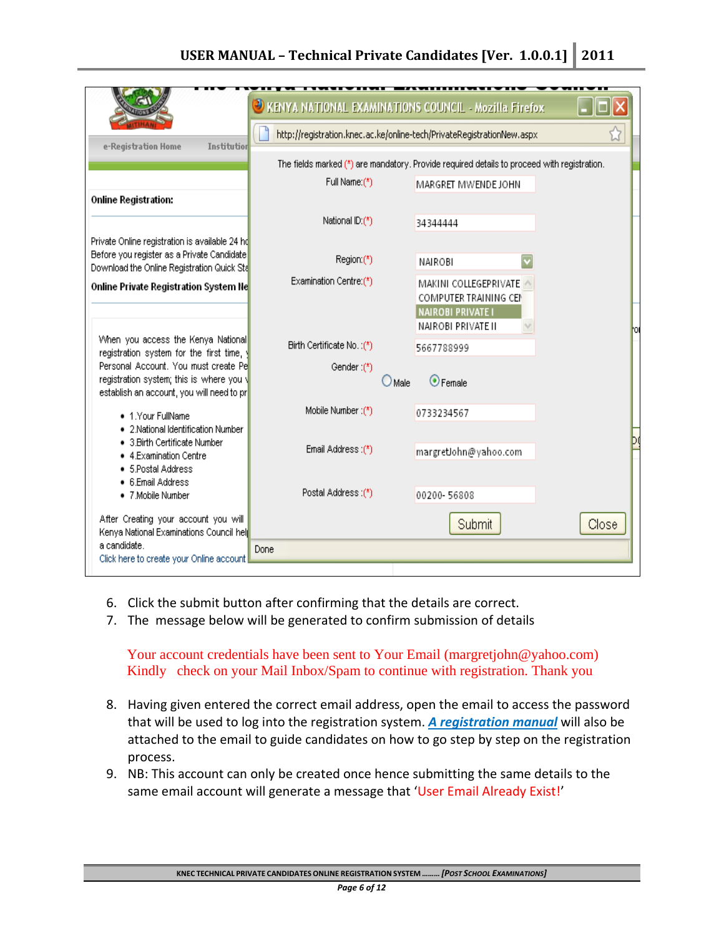# **USER MANUAL – Technical Private Candidates [Ver. 1.0.0.1] 2011**

|                                                                                                                               | KENYA NATIONAL EXAMINATIONS COUNCIL - Mozilla Firefox<br>œ             |        |                                                                                                  |       |  |
|-------------------------------------------------------------------------------------------------------------------------------|------------------------------------------------------------------------|--------|--------------------------------------------------------------------------------------------------|-------|--|
|                                                                                                                               | http://registration.knec.ac.ke/online-tech/PrivateRegistrationNew.aspx |        |                                                                                                  |       |  |
| e-Registration Home<br>Institution                                                                                            |                                                                        |        | The fields marked (*) are mandatory. Provide required details to proceed with registration.      |       |  |
|                                                                                                                               | Full Name:(*)                                                          |        |                                                                                                  |       |  |
| <b>Online Registration:</b>                                                                                                   |                                                                        |        | MARGRET MWENDE JOHN                                                                              |       |  |
|                                                                                                                               | National ID:(*)                                                        |        | 34344444                                                                                         |       |  |
| Private Online registration is available 24 hd<br>Before you register as a Private Candidate                                  |                                                                        |        |                                                                                                  |       |  |
| Download the Online Registration Quick Sta                                                                                    | Region (*)                                                             |        | NAIROBI                                                                                          |       |  |
| Online Private Registration System Ne                                                                                         | Examination Centre:(*)                                                 |        | MAKINI COLLEGEPRIVATE<br>COMPUTER TRAINING CEN<br><b>NAIROBI PRIVATE I</b><br>NAIROBI PRIVATE II |       |  |
| When you access the Kenya National<br>registration system for the first time,                                                 | Birth Certificate No.:(*)                                              |        | 5667788999                                                                                       |       |  |
| Personal Account. You must create Pe<br>registration system; this is where you \<br>establish an account, you will need to pr | Gender:(*)                                                             | ) Male | $\odot$ Female                                                                                   |       |  |
| • 1.Your FullName                                                                                                             | Mobile Number (*)                                                      |        | 0733234567                                                                                       |       |  |
| • 2.National Identification Number<br>• 3. Birth Certificate Number<br>• 4.Examination Centre<br>• 5 Postal Address           | Email Address (*)                                                      |        | margretJohn@yahoo.com                                                                            |       |  |
| • 6.Email Address<br>• 7. Mobile Number                                                                                       | Postal Address :(*)                                                    |        | 00200-56808                                                                                      |       |  |
| After Creating your account you will<br>Kenya National Examinations Council help                                              |                                                                        |        | Submit                                                                                           | Close |  |
| a candidate.<br>Click here to create your Online account                                                                      | Done                                                                   |        |                                                                                                  |       |  |

- 6. Click the submit button after confirming that the details are correct.
- 7. The message below will be generated to confirm submission of details

Your account credentials have been sent to Your Email (margretjohn@yahoo.com) Kindly check on your Mail Inbox/Spam to continue with registration. Thank you

- 8. Having given entered the correct email address, open the email to access the password that will be used to log into the registration system. *A registration manual* will also be attached to the email to guide candidates on how to go step by step on the registration process.
- 9. NB: This account can only be created once hence submitting the same details to the same email account will generate a message that 'User Email Already Exist!'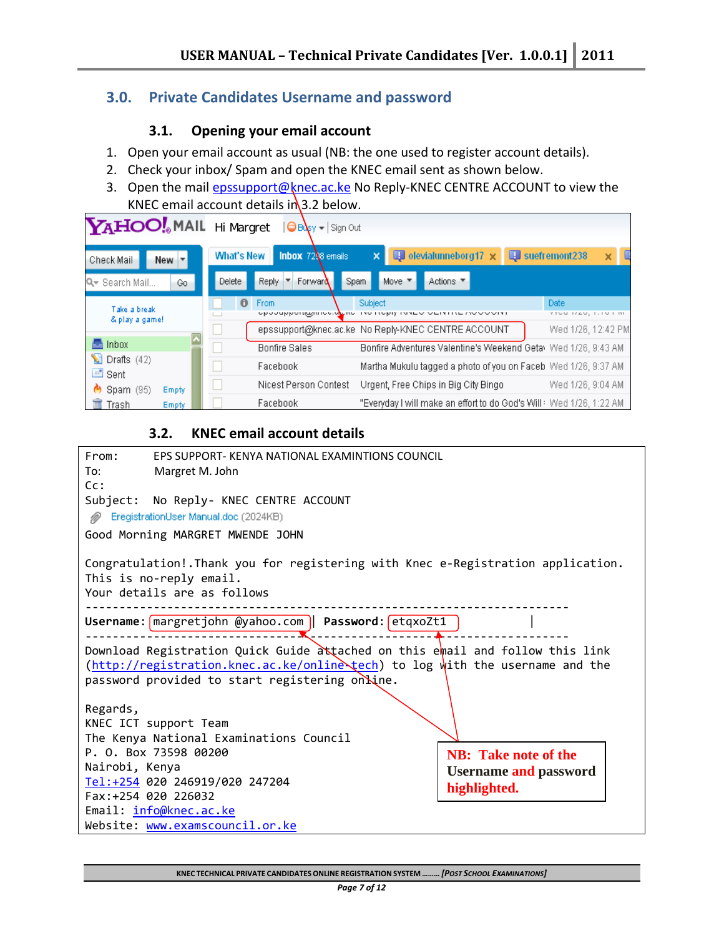# **3.0. Private Candidates Username and password**

#### **3.1. Opening your email account**

- 1. Open your email account as usual (NB: the one used to register account details).
- 2. Check your inbox/ Spam and open the KNEC email sent as shown below.
- 3. Open the mail epssupport@knec.ac.ke No Reply-KNEC CENTRE ACCOUNT to view the KNEC email account details in  $3.2$  below.

| <b>YAHOO!</b> MAIL Hi Margret       |                   | $\bigoplus$ Busy $-$ Sign Out                  |                                                                                                  |                                                        |
|-------------------------------------|-------------------|------------------------------------------------|--------------------------------------------------------------------------------------------------|--------------------------------------------------------|
| $New -$<br>Check Mail               | <b>What's New</b> | <b>Inbox</b> 7238 emails                       | $\blacksquare$ olevialunneborg17 $\times$<br>×                                                   | suefremont238<br>×                                     |
| Q Search Mail<br>Go                 | Delete            | Reply /<br>Forward<br>Spam                     | Actions ▼<br>Move ▼                                                                              |                                                        |
| Take a break<br>& play a game!      | 0                 | From<br>opoouppongujuroolo <mark>l</mark> eno- | Subject<br>THE TREPT THREY VERTICE MY VISH<br>epssupport@knec.ac.ke No Reply-KNEC CENTRE ACCOUNT | Date<br>$1720, 1.101$ m<br>YYUU.<br>Wed 1/26, 12:42 PM |
| <b>Inbox</b>                        |                   | <b>Bonfire Sales</b>                           | Bonfire Adventures Valentine's Weekend Geta Wed 1/26, 9:43 AM                                    |                                                        |
| M<br>Drafts $(42)$<br>$\equiv$ Sent |                   | Facebook                                       | Martha Mukulu tagged a photo of you on Faceb Wed 1/26, 9:37 AM                                   |                                                        |
| $\bullet$ Spam (95)<br>Empty        |                   | Nicest Person Contest                          | Urgent, Free Chips in Big City Bingo                                                             | Wed 1/26, 9:04 AM                                      |
| Trash<br>Empty                      |                   | Facebook                                       | "Everyday I will make an effort to do God's Will: Wed 1/26, 1:22 AM                              |                                                        |

## **3.2. KNEC email account details**

| From:                                                 | EPS SUPPORT- KENYA NATIONAL EXAMINTIONS COUNCIL                                                                                                                                                                  |  |  |  |  |  |  |
|-------------------------------------------------------|------------------------------------------------------------------------------------------------------------------------------------------------------------------------------------------------------------------|--|--|--|--|--|--|
| To:                                                   | Margret M. John                                                                                                                                                                                                  |  |  |  |  |  |  |
| Cc:                                                   |                                                                                                                                                                                                                  |  |  |  |  |  |  |
|                                                       | Subject: No Reply- KNEC CENTRE ACCOUNT                                                                                                                                                                           |  |  |  |  |  |  |
|                                                       | FregistrationUser Manual.doc (2024KB)                                                                                                                                                                            |  |  |  |  |  |  |
|                                                       | Good Morning MARGRET MWENDE JOHN                                                                                                                                                                                 |  |  |  |  |  |  |
|                                                       | Congratulation!. Thank you for registering with Knec e-Registration application.<br>This is no-reply email.<br>Your details are as follows                                                                       |  |  |  |  |  |  |
|                                                       | Username: margretjohn @yahoo.com    Password: etqxoZt1<br><u>----------------------</u> -                                                                                                                        |  |  |  |  |  |  |
| Regards,                                              | Download Registration Quick Guide attached on this email and follow this link<br>(http://registration.knec.ac.ke/online\tech) to log with the username and the<br>password provided to start registering online. |  |  |  |  |  |  |
|                                                       |                                                                                                                                                                                                                  |  |  |  |  |  |  |
|                                                       | KNEC ICT support Team<br>The Kenya National Examinations Council                                                                                                                                                 |  |  |  |  |  |  |
| P. O. Box 73598 00200<br><b>NB</b> : Take note of the |                                                                                                                                                                                                                  |  |  |  |  |  |  |
| Nairobi, Kenya<br><b>Username and password</b>        |                                                                                                                                                                                                                  |  |  |  |  |  |  |
| Tel:+254 020 246919/020 247204                        |                                                                                                                                                                                                                  |  |  |  |  |  |  |
|                                                       | highlighted.<br>Fax: +254 020 226032                                                                                                                                                                             |  |  |  |  |  |  |
| Email: info@knec.ac.ke                                |                                                                                                                                                                                                                  |  |  |  |  |  |  |
|                                                       | Website: www.examscouncil.or.ke                                                                                                                                                                                  |  |  |  |  |  |  |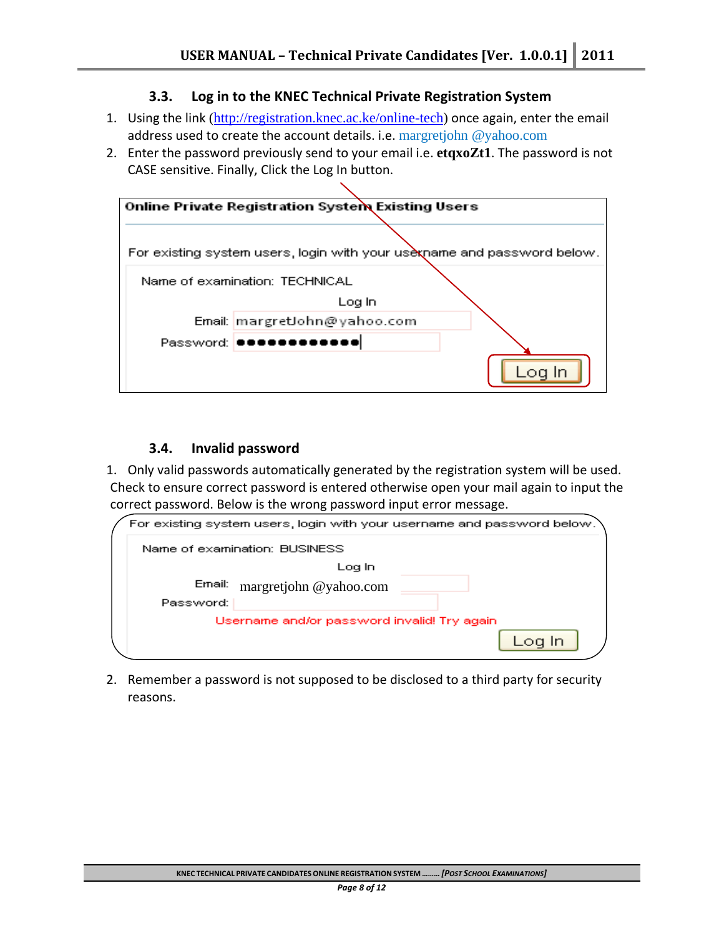#### **3.3. Log in to the KNEC Technical Private Registration System**

- 1. Using the link (http://registration.knec.ac.ke/online-tech) once again, enter the email address used to create the account details. i.e. margretjohn @yahoo.com
- 2. Enter the password previously send to your email i.e. **etqxoZt1**. The password is not CASE sensitive. Finally, Click the Log In button.



#### **3.4. Invalid password**

1. Only valid passwords automatically generated by the registration system will be used. Check to ensure correct password is entered otherwise open your mail again to input the correct password. Below is the wrong password input error message.



2. Remember a password is not supposed to be disclosed to a third party for security reasons.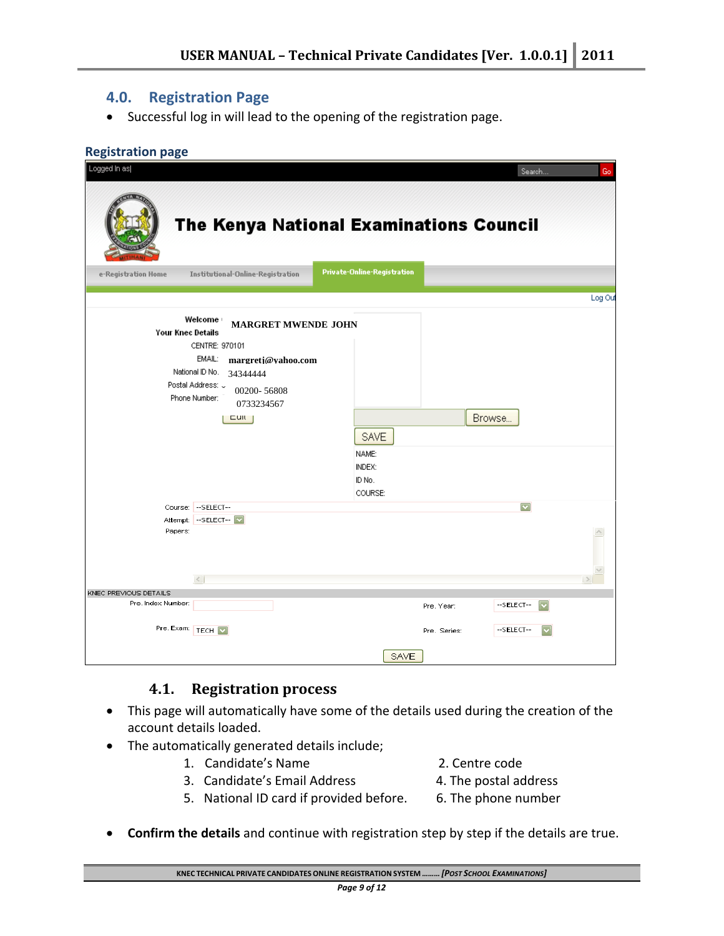## **4.0. Registration Page**

• Successful log in will lead to the opening of the registration page.

#### **Registration page**

| Logged In as             |                                                                                                                                                                                                                                                     |                                                     |              | Search                            | Go      |
|--------------------------|-----------------------------------------------------------------------------------------------------------------------------------------------------------------------------------------------------------------------------------------------------|-----------------------------------------------------|--------------|-----------------------------------|---------|
|                          | The Kenya National Examinations Council                                                                                                                                                                                                             | Private-Online-Registration                         |              |                                   |         |
| e-Registration Home      | Institutional-Online-Registration                                                                                                                                                                                                                   |                                                     |              |                                   |         |
|                          |                                                                                                                                                                                                                                                     |                                                     |              |                                   | Log Out |
| <b>Your Knec Details</b> | Welcome<br><b>MARGRET MWENDE JOHN</b><br>CENTRE: 970101<br>EMAIL:<br>margretj@vahoo.com<br>National ID No.<br>34344444<br>Postal Address: U<br>00200-56808<br>Phone Number:<br>0733234567<br>$C$ ull  <br>Course: -SELECT--<br>Attempt: -- SELECT-- | <b>SAVE</b><br>NAME:<br>INDEX:<br>ID No.<br>COURSE: |              | Browse<br>$\overline{\mathbf{v}}$ |         |
| Papers:                  | $\,<$                                                                                                                                                                                                                                               |                                                     |              |                                   |         |
| KNEC PREVIOUS DETAILS    |                                                                                                                                                                                                                                                     |                                                     |              |                                   |         |
| Pre. Index Number:       |                                                                                                                                                                                                                                                     |                                                     | Pre. Year:   | --SELECT--                        |         |
| Pre. Exam: TECH          |                                                                                                                                                                                                                                                     |                                                     | Pre. Series: | --SELECT--                        |         |
|                          |                                                                                                                                                                                                                                                     | <b>SAVE</b>                                         |              |                                   |         |

#### **4.1. Registration process**

- This page will automatically have some of the details used during the creation of the account details loaded.
- The automatically generated details include;
	- 1. Candidate's Name 2. Centre code
	- 3. Candidate's Email Address 4. The postal address
- -
	- 5. National ID card if provided before. 6. The phone number
- 
- 
- **Confirm the details** and continue with registration step by step if the details are true.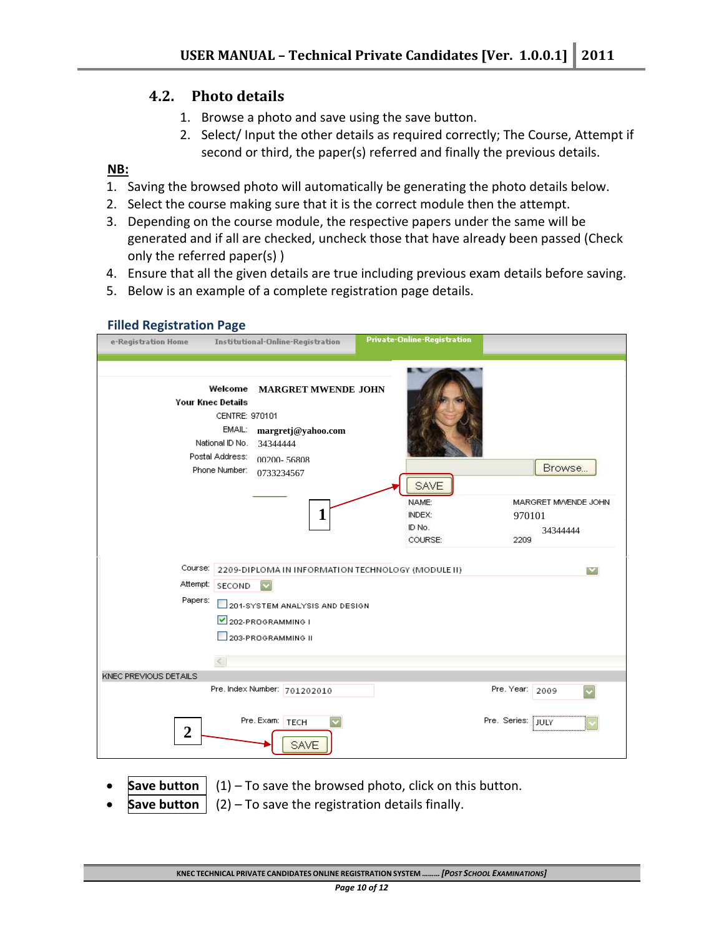# **4.2. Photo details**

- 1. Browse a photo and save using the save button.
- 2. Select/ Input the other details as required correctly; The Course, Attempt if second or third, the paper(s) referred and finally the previous details.

#### **NB:**

 **Filled Registration Page**

- 1. Saving the browsed photo will automatically be generating the photo details below.
- 2. Select the course making sure that it is the correct module then the attempt.
- 3. Depending on the course module, the respective papers under the same will be generated and if all are checked, uncheck those that have already been passed (Check only the referred paper(s) )
- 4. Ensure that all the given details are true including previous exam details before saving.
- 5. Below is an example of a complete registration page details.

| e-Registration Home   |                                                                                                                        | Institutional-Online-Registration                                                              | <b>Private-Online-Registration</b>                         |                                                             |
|-----------------------|------------------------------------------------------------------------------------------------------------------------|------------------------------------------------------------------------------------------------|------------------------------------------------------------|-------------------------------------------------------------|
|                       | Welcome<br><b>Your Knec Details</b><br>CENTRE: 970101<br>EMAIL:<br>National ID No.<br>Postal Address:<br>Phone Number: | <b>MARGRET MWENDE JOHN</b><br>margretj@yahoo.com<br>34344444<br>00200-56808<br>0733234567<br>1 | <b>SAVE</b><br>NAME:<br><b>INDEX:</b><br>ID No.<br>COURSE: | Browse<br>MARGRET MWENDE JOHN<br>970101<br>34344444<br>2209 |
| Course:<br>Attempt:   | SECOND                                                                                                                 | $\overline{\mathbf{v}}$                                                                        | 2209-DIPLOMA IN INFORMATION TECHNOLOGY (MODULE II)         | $\vert \mathbf{v} \vert$                                    |
| Papers:               |                                                                                                                        | 201-SYSTEM ANALYSIS AND DESIGN<br>202-PROGRAMMING I<br>203-PROGRAMMING II                      |                                                            |                                                             |
| KNEC PREVIOUS DETAILS | $\leq$                                                                                                                 |                                                                                                |                                                            |                                                             |
|                       |                                                                                                                        | Pre. Index Number: 701202010<br>Pre. Exam:   TECH                                              |                                                            | Pre. Year:<br>2009<br>Pre. Series:<br>i july                |
| $\overline{2}$        |                                                                                                                        | <b>SAVE</b>                                                                                    |                                                            |                                                             |

- **Save button**  $\begin{bmatrix} (1) T_0 \end{bmatrix}$  (1) to save the browsed photo, click on this button.
- **Save button**  $\vert$  (2) To save the registration details finally.

**KNEC TECHNICAL PRIVATE CANDIDATES ONLINE REGISTRATION SYSTEM** *……… [POST SCHOOL EXAMINATIONS]*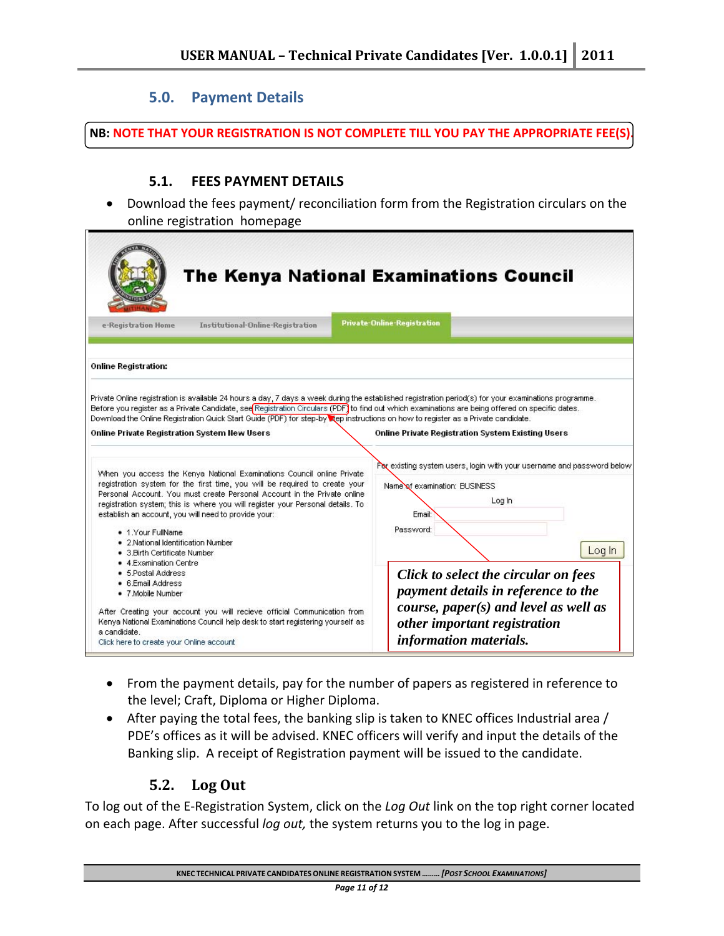### **5.0. Payment Details**

**NB: NOTE THAT YOUR REGISTRATION IS NOT COMPLETE TILL YOU PAY THE APPROPRIATE FEE(S).**

#### **5.1. FEES PAYMENT DETAILS**

• Download the fees payment/ reconciliation form from the Registration circulars on the online registration homepage

| The Kenya National Examinations Council                                                                                                                                                                                                                                                                                                                                                                                                                                                              |                                                                                                                                                                                             |  |  |  |  |  |
|------------------------------------------------------------------------------------------------------------------------------------------------------------------------------------------------------------------------------------------------------------------------------------------------------------------------------------------------------------------------------------------------------------------------------------------------------------------------------------------------------|---------------------------------------------------------------------------------------------------------------------------------------------------------------------------------------------|--|--|--|--|--|
| Institutional-Online-Registration<br>e-Registration Home                                                                                                                                                                                                                                                                                                                                                                                                                                             | <b>Private-Online-Registration</b>                                                                                                                                                          |  |  |  |  |  |
|                                                                                                                                                                                                                                                                                                                                                                                                                                                                                                      |                                                                                                                                                                                             |  |  |  |  |  |
| <b>Online Registration:</b>                                                                                                                                                                                                                                                                                                                                                                                                                                                                          |                                                                                                                                                                                             |  |  |  |  |  |
| Private Online registration is available 24 hours a day, 7 days a week during the established registration period(s) for your examinations programme.<br>Before you register as a Private Candidate, see Registration Circulars (PDF) to find out which examinations are being offered on specific dates.<br>Download the Online Registration Quick Start Guide (PDF) for step-by Rep instructions on how to register as a Private candidate.<br><b>Online Private Registration System New Users</b> | Online Private Registration System Existing Users                                                                                                                                           |  |  |  |  |  |
| When you access the Kenya National Examinations Council online Private<br>registration system for the first time, you will be required to create your<br>Personal Account. You must create Personal Account in the Private online<br>registration system; this is where you will register your Personal details. To<br>establish an account, you will need to provide your:<br>• 1. Your FullName<br>• 2.National Identification Number                                                              | Por existing system users, login with your username and password below<br>Name of examination: BUSINESS<br>Log In<br>Ernail:<br>Password:                                                   |  |  |  |  |  |
| • 3. Birth Certificate Number<br>• 4.Examination Centre<br>• 5.Postal Address<br>• 6.Email Address<br>• 7 Mobile Number<br>After Creating your account you will recieve official Communication from<br>Kenya National Examinations Council help desk to start registering yourself as<br>a candidate.<br>Click here to create your Online account                                                                                                                                                    | Log In<br>Click to select the circular on fees<br>payment details in reference to the<br>course, paper $(s)$ and level as well as<br>other important registration<br>information materials. |  |  |  |  |  |

- From the payment details, pay for the number of papers as registered in reference to the level; Craft, Diploma or Higher Diploma.
- After paying the total fees, the banking slip is taken to KNEC offices Industrial area / PDE's offices as it will be advised. KNEC officers will verify and input the details of the Banking slip. A receipt of Registration payment will be issued to the candidate.

## **5.2. Log Out**

To log out of the E‐Registration System, click on the *Log Out* link on the top right corner located on each page. After successful *log out,* the system returns you to the log in page.